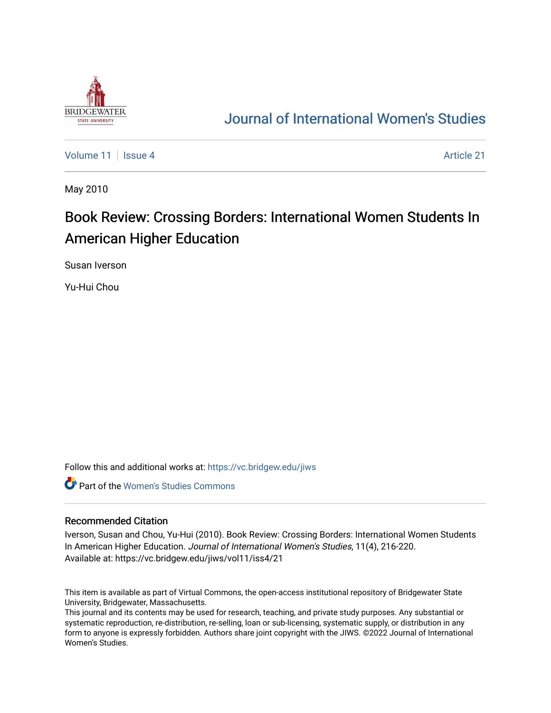

## [Journal of International Women's Studies](https://vc.bridgew.edu/jiws)

[Volume 11](https://vc.bridgew.edu/jiws/vol11) | [Issue 4](https://vc.bridgew.edu/jiws/vol11/iss4) [Article 21](https://vc.bridgew.edu/jiws/vol11/iss4/21) | Article 21 | Article 21 | Article 21 | Article 21 | Article 21 | Article 21 |

May 2010

# Book Review: Crossing Borders: International Women Students In American Higher Education

Susan Iverson

Yu-Hui Chou

Follow this and additional works at: [https://vc.bridgew.edu/jiws](https://vc.bridgew.edu/jiws?utm_source=vc.bridgew.edu%2Fjiws%2Fvol11%2Fiss4%2F21&utm_medium=PDF&utm_campaign=PDFCoverPages)

**C** Part of the Women's Studies Commons

#### Recommended Citation

Iverson, Susan and Chou, Yu-Hui (2010). Book Review: Crossing Borders: International Women Students In American Higher Education. Journal of International Women's Studies, 11(4), 216-220. Available at: https://vc.bridgew.edu/jiws/vol11/iss4/21

This item is available as part of Virtual Commons, the open-access institutional repository of Bridgewater State University, Bridgewater, Massachusetts.

This journal and its contents may be used for research, teaching, and private study purposes. Any substantial or systematic reproduction, re-distribution, re-selling, loan or sub-licensing, systematic supply, or distribution in any form to anyone is expressly forbidden. Authors share joint copyright with the JIWS. ©2022 Journal of International Women's Studies.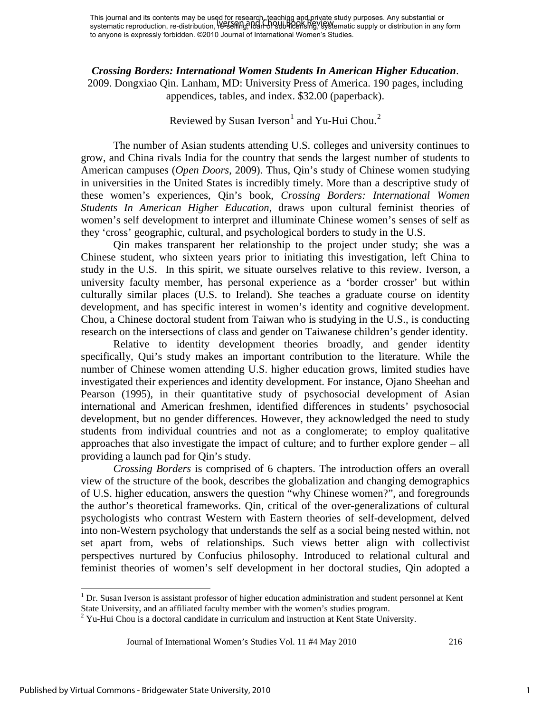*Crossing Borders: International Women Students In American Higher Education*.

2009. Dongxiao Qin. Lanham, MD: University Press of America. 190 pages, including appendices, tables, and index. \$32.00 (paperback).

### Reviewed by Susan Iverson $^1$  $^1$  and Yu-Hui Chou.<sup>[2](#page-1-1)</sup>

The number of Asian students attending U.S. colleges and university continues to grow, and China rivals India for the country that sends the largest number of students to American campuses (*Open Doors*, 2009). Thus, Qin's study of Chinese women studying in universities in the United States is incredibly timely. More than a descriptive study of these women's experiences, Qin's book, *Crossing Borders: International Women Students In American Higher Education*, draws upon cultural feminist theories of women's self development to interpret and illuminate Chinese women's senses of self as they 'cross' geographic, cultural, and psychological borders to study in the U.S.

Qin makes transparent her relationship to the project under study; she was a Chinese student, who sixteen years prior to initiating this investigation, left China to study in the U.S. In this spirit, we situate ourselves relative to this review. Iverson, a university faculty member, has personal experience as a 'border crosser' but within culturally similar places (U.S. to Ireland). She teaches a graduate course on identity development, and has specific interest in women's identity and cognitive development. Chou, a Chinese doctoral student from Taiwan who is studying in the U.S., is conducting research on the intersections of class and gender on Taiwanese children's gender identity.

Relative to identity development theories broadly, and gender identity specifically, Qui's study makes an important contribution to the literature. While the number of Chinese women attending U.S. higher education grows, limited studies have investigated their experiences and identity development. For instance, Ojano Sheehan and Pearson (1995), in their quantitative study of psychosocial development of Asian international and American freshmen, identified differences in students' psychosocial development, but no gender differences. However, they acknowledged the need to study students from individual countries and not as a conglomerate; to employ qualitative approaches that also investigate the impact of culture; and to further explore gender – all providing a launch pad for Qin's study.

*Crossing Borders* is comprised of 6 chapters. The introduction offers an overall view of the structure of the book, describes the globalization and changing demographics of U.S. higher education, answers the question "why Chinese women?", and foregrounds the author's theoretical frameworks. Qin, critical of the over-generalizations of cultural psychologists who contrast Western with Eastern theories of self-development, delved into non-Western psychology that understands the self as a social being nested within, not set apart from, webs of relationships. Such views better align with collectivist perspectives nurtured by Confucius philosophy. Introduced to relational cultural and feminist theories of women's self development in her doctoral studies, Qin adopted a

 $\overline{\phantom{0}}$ 

<span id="page-1-0"></span><sup>&</sup>lt;sup>1</sup> Dr. Susan Iverson is assistant professor of higher education administration and student personnel at Kent State University, and an affiliated faculty member with the women's studies program.

<span id="page-1-1"></span> $2$  Yu-Hui Chou is a doctoral candidate in curriculum and instruction at Kent State University.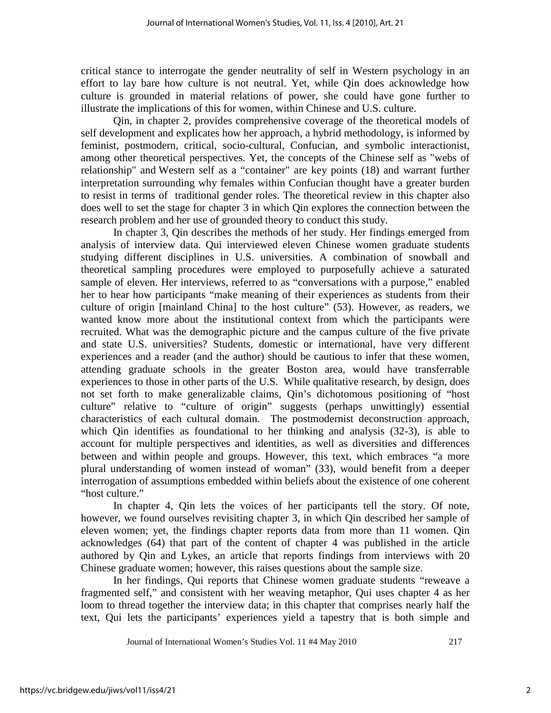critical stance to interrogate the gender neutrality of self in Western psychology in an effort to lay bare how culture is not neutral. Yet, while Qin does acknowledge how culture is grounded in material relations of power, she could have gone further to illustrate the implications of this for women, within Chinese and U.S. culture.

Qin, in chapter 2, provides comprehensive coverage of the theoretical models of self development and explicates how her approach, a hybrid methodology, is informed by feminist, postmodern, critical, socio-cultural, Confucian, and symbolic interactionist, among other theoretical perspectives. Yet, the concepts of the Chinese self as "webs of relationship" and Western self as a "container" are key points (18) and warrant further interpretation surrounding why females within Confucian thought have a greater burden to resist in terms of traditional gender roles. The theoretical review in this chapter also does well to set the stage for chapter 3 in which Qin explores the connection between the research problem and her use of grounded theory to conduct this study.

In chapter 3, Qin describes the methods of her study. Her findings emerged from analysis of interview data. Qui interviewed eleven Chinese women graduate students studying different disciplines in U.S. universities. A combination of snowball and theoretical sampling procedures were employed to purposefully achieve a saturated sample of eleven. Her interviews, referred to as "conversations with a purpose," enabled her to hear how participants "make meaning of their experiences as students from their culture of origin [mainland China] to the host culture" (53). However, as readers, we wanted know more about the institutional context from which the participants were recruited. What was the demographic picture and the campus culture of the five private and state U.S. universities? Students, domestic or international, have very different experiences and a reader (and the author) should be cautious to infer that these women, attending graduate schools in the greater Boston area, would have transferrable experiences to those in other parts of the U.S. While qualitative research, by design, does not set forth to make generalizable claims, Qin's dichotomous positioning of "host culture" relative to "culture of origin" suggests (perhaps unwittingly) essential characteristics of each cultural domain. The postmodernist deconstruction approach, which Qin identifies as foundational to her thinking and analysis (32-3), is able to account for multiple perspectives and identities, as well as diversities and differences between and within people and groups. However, this text, which embraces "a more plural understanding of women instead of woman" (33), would benefit from a deeper interrogation of assumptions embedded within beliefs about the existence of one coherent "host culture."

In chapter 4, Qin lets the voices of her participants tell the story. Of note, however, we found ourselves revisiting chapter 3, in which Qin described her sample of eleven women; yet, the findings chapter reports data from more than 11 women. Qin acknowledges (64) that part of the content of chapter 4 was published in the article authored by Qin and Lykes, an article that reports findings from interviews with 20 Chinese graduate women; however, this raises questions about the sample size.

 In her findings, Qui reports that Chinese women graduate students "reweave a fragmented self," and consistent with her weaving metaphor, Qui uses chapter 4 as her loom to thread together the interview data; in this chapter that comprises nearly half the text, Qui lets the participants' experiences yield a tapestry that is both simple and

Journal of International Women's Studies Vol. 11 #4 May 2010 217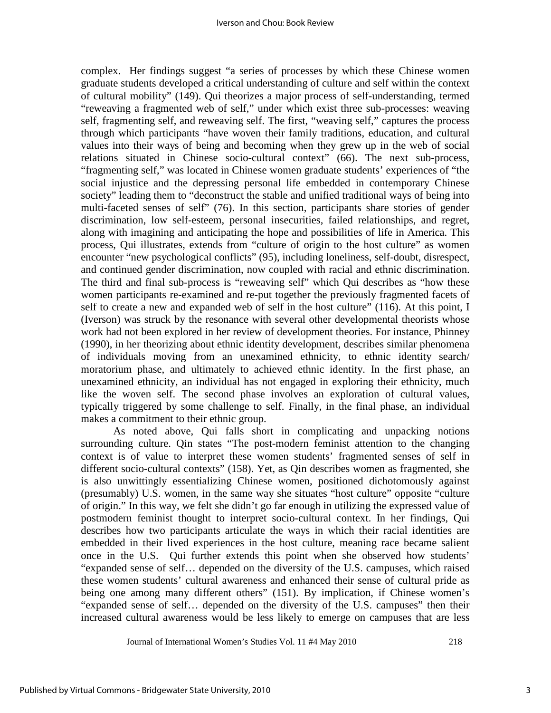complex. Her findings suggest "a series of processes by which these Chinese women graduate students developed a critical understanding of culture and self within the context of cultural mobility" (149). Qui theorizes a major process of self-understanding, termed "reweaving a fragmented web of self," under which exist three sub-processes: weaving self, fragmenting self, and reweaving self. The first, "weaving self," captures the process through which participants "have woven their family traditions, education, and cultural values into their ways of being and becoming when they grew up in the web of social relations situated in Chinese socio-cultural context" (66). The next sub-process, "fragmenting self," was located in Chinese women graduate students' experiences of "the social injustice and the depressing personal life embedded in contemporary Chinese society" leading them to "deconstruct the stable and unified traditional ways of being into multi-faceted senses of self" (76). In this section, participants share stories of gender discrimination, low self-esteem, personal insecurities, failed relationships, and regret, along with imagining and anticipating the hope and possibilities of life in America. This process, Qui illustrates, extends from "culture of origin to the host culture" as women encounter "new psychological conflicts" (95), including loneliness, self-doubt, disrespect, and continued gender discrimination, now coupled with racial and ethnic discrimination. The third and final sub-process is "reweaving self" which Qui describes as "how these women participants re-examined and re-put together the previously fragmented facets of self to create a new and expanded web of self in the host culture" (116). At this point, I (Iverson) was struck by the resonance with several other developmental theorists whose work had not been explored in her review of development theories. For instance, Phinney (1990), in her theorizing about ethnic identity development, describes similar phenomena of individuals moving from an unexamined ethnicity, to ethnic identity search/ moratorium phase, and ultimately to achieved ethnic identity. In the first phase, an unexamined ethnicity, an individual has not engaged in exploring their ethnicity, much like the woven self. The second phase involves an exploration of cultural values, typically triggered by some challenge to self. Finally, in the final phase, an individual makes a commitment to their ethnic group.

As noted above, Qui falls short in complicating and unpacking notions surrounding culture. Qin states "The post-modern feminist attention to the changing context is of value to interpret these women students' fragmented senses of self in different socio-cultural contexts" (158). Yet, as Qin describes women as fragmented, she is also unwittingly essentializing Chinese women, positioned dichotomously against (presumably) U.S. women, in the same way she situates "host culture" opposite "culture of origin." In this way, we felt she didn't go far enough in utilizing the expressed value of postmodern feminist thought to interpret socio-cultural context. In her findings, Qui describes how two participants articulate the ways in which their racial identities are embedded in their lived experiences in the host culture, meaning race became salient once in the U.S. Qui further extends this point when she observed how students' "expanded sense of self… depended on the diversity of the U.S. campuses, which raised these women students' cultural awareness and enhanced their sense of cultural pride as being one among many different others" (151). By implication, if Chinese women's "expanded sense of self… depended on the diversity of the U.S. campuses" then their increased cultural awareness would be less likely to emerge on campuses that are less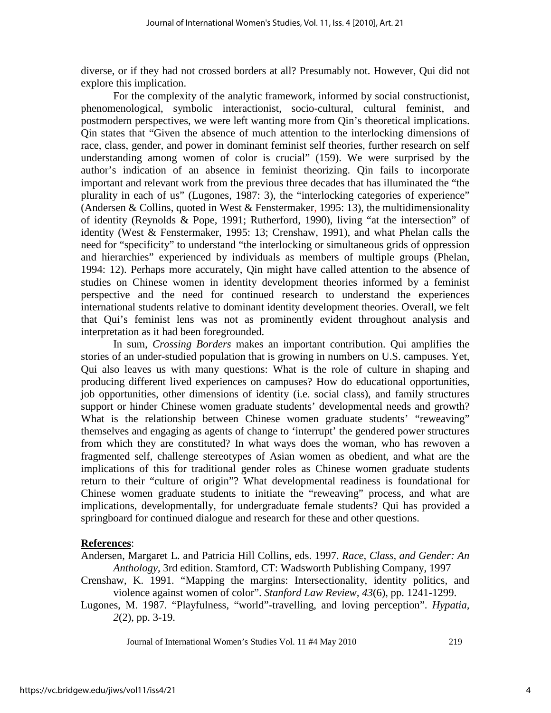diverse, or if they had not crossed borders at all? Presumably not. However, Qui did not explore this implication.

For the complexity of the analytic framework, informed by social constructionist, phenomenological, symbolic interactionist, socio-cultural, cultural feminist, and postmodern perspectives, we were left wanting more from Qin's theoretical implications. Qin states that "Given the absence of much attention to the interlocking dimensions of race, class, gender, and power in dominant feminist self theories, further research on self understanding among women of color is crucial" (159). We were surprised by the author's indication of an absence in feminist theorizing. Qin fails to incorporate important and relevant work from the previous three decades that has illuminated the "the plurality in each of us" (Lugones, 1987: 3), the "interlocking categories of experience" (Andersen & Collins, quoted in West & Fenstermaker, 1995: 13), the multidimensionality of identity (Reynolds & Pope, 1991; Rutherford, 1990), living "at the intersection" of identity (West & Fenstermaker, 1995: 13; Crenshaw, 1991), and what Phelan calls the need for "specificity" to understand "the interlocking or simultaneous grids of oppression and hierarchies" experienced by individuals as members of multiple groups (Phelan, 1994: 12). Perhaps more accurately, Qin might have called attention to the absence of studies on Chinese women in identity development theories informed by a feminist perspective and the need for continued research to understand the experiences international students relative to dominant identity development theories. Overall, we felt that Qui's feminist lens was not as prominently evident throughout analysis and interpretation as it had been foregrounded.

In sum, *Crossing Borders* makes an important contribution. Qui amplifies the stories of an under-studied population that is growing in numbers on U.S. campuses. Yet, Qui also leaves us with many questions: What is the role of culture in shaping and producing different lived experiences on campuses? How do educational opportunities, job opportunities, other dimensions of identity (i.e. social class), and family structures support or hinder Chinese women graduate students' developmental needs and growth? What is the relationship between Chinese women graduate students' "reweaving" themselves and engaging as agents of change to 'interrupt' the gendered power structures from which they are constituted? In what ways does the woman, who has rewoven a fragmented self, challenge stereotypes of Asian women as obedient, and what are the implications of this for traditional gender roles as Chinese women graduate students return to their "culture of origin"? What developmental readiness is foundational for Chinese women graduate students to initiate the "reweaving" process, and what are implications, developmentally, for undergraduate female students? Qui has provided a springboard for continued dialogue and research for these and other questions.

#### **References**:

- Andersen, Margaret L. and Patricia Hill Collins, eds. 1997. *Race, Class, and Gender: An Anthology,* 3rd edition. Stamford, CT: Wadsworth Publishing Company, 1997
- Crenshaw, K. 1991. "Mapping the margins: Intersectionality, identity politics, and violence against women of color". *Stanford Law Review, 43*(6), pp. 1241-1299.
- Lugones, M. 1987. "Playfulness, "world"-travelling, and loving perception". *Hypatia, 2*(2), pp. 3-19.

Journal of International Women's Studies Vol. 11 #4 May 2010 219